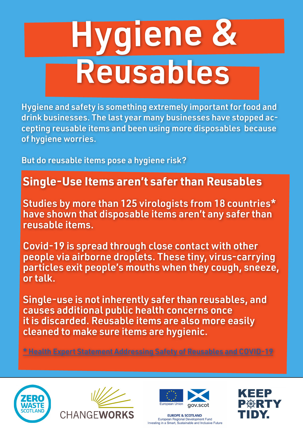# Hygiene & Reusables

Hygiene and safety is something extremely important for food and drink businesses. The last year many businesses have stopped accepting reusable items and been using more disposables because of hygiene worries.

But do reusable items pose a hygiene risk?

## **Single-Use Items aren't safer than Reusables**

Studies by more than 125 virologists from 18 countries\* have shown that disposable items aren't any safer than reusable items.

Covid-19 is spread through close contact with other people via airborne droplets. These tiny, virus-carrying particles exit people's mouths when they cough, sneeze, or talk.

Single-use is not inherently safer than reusables, and causes additional public health concerns once it is discarded. Reusable items are also more easily cleaned to make sure items are hygienic.

\* Health Expert Statement Addressing Safety of Reusables and COVID-19







**EUROPE & SCOTLAND** European Regional Development Fund Investing in a Smart, Sustainable and Inclusive Future

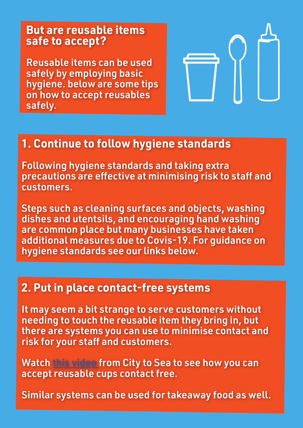#### **But are reusable items safe to accept?**

Reusable items can be used safely by employing basic hygiene. below are some tips on how to accept reusables safely.



## **1. Continue to follow hygiene standards**

Following hygiene standards and taking extra precautions are effective at minimising risk to staff and customers.

Steps such as cleaning surfaces and objects, washing dishes and utentsils, and encouraging hand washing are common place but many businesses have taken additional measures due to Covis-19. For guidance on hygiene standards see our links below.

### **2. Put in place contact-free systems**

It may seem a bit strange to serve customers without needing to touch the reusable item they bring in, but there are systems you can use to minimise contact and risk for your staff and customers.

Watch this video from City to Sea to see how you can accept reusable cups contact free.

Similar systems can be used for takeaway food as well.